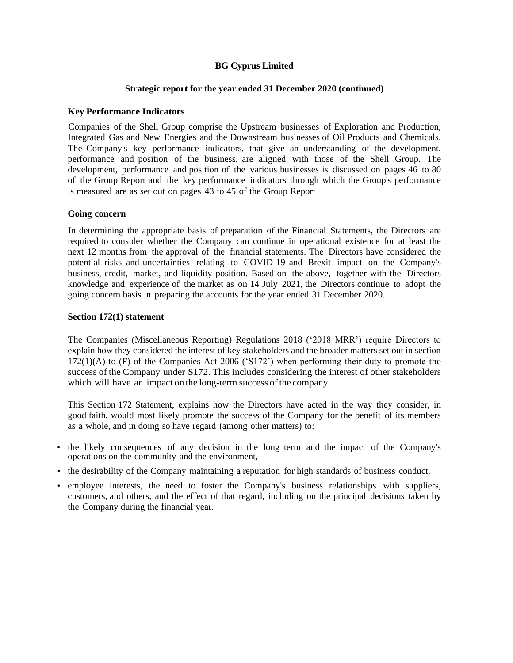# **BG Cyprus Limited**

### **Strategic report for the year ended 31 December 2020 (continued)**

### **Key Performance Indicators**

Companies of the Shell Group comprise the Upstream businesses of Exploration and Production, Integrated Gas and New Energies and the Downstream businesses of Oil Products and Chemicals. The Company's key performance indicators, that give an understanding of the development, performance and position of the business, are aligned with those of the Shell Group. The development, performance and position of the various businesses is discussed on pages 46 to 80 of the Group Report and the key performance indicators through which the Group's performance is measured are as set out on pages 43 to 45 of the Group Report

### **Going concern**

In determining the appropriate basis of preparation of the Financial Statements, the Directors are required to consider whether the Company can continue in operational existence for at least the next 12 months from the approval of the financial statements. The Directors have considered the potential risks and uncertainties relating to COVID-19 and Brexit impact on the Company's business, credit, market, and liquidity position. Based on the above, together with the Directors knowledge and experience of the market as on 14 July 2021, the Directors continue to adopt the going concern basis in preparing the accounts for the year ended 31 December 2020.

### **Section 172(1) statement**

The Companies (Miscellaneous Reporting) Regulations 2018 ('2018 MRR') require Directors to explain how they considered the interest of key stakeholders and the broader matters set out in section  $172(1)(A)$  to (F) of the Companies Act 2006 ('S172') when performing their duty to promote the success of the Company under S172. This includes considering the interest of other stakeholders which will have an impact on the long-term success of the company.

This Section 172 Statement, explains how the Directors have acted in the way they consider, in good faith, would most likely promote the success of the Company for the benefit of its members as a whole, and in doing so have regard (among other matters) to:

- the likely consequences of any decision in the long term and the impact of the Company's operations on the community and the environment,
- the desirability of the Company maintaining a reputation for high standards of business conduct,
- employee interests, the need to foster the Company's business relationships with suppliers, customers, and others, and the effect of that regard, including on the principal decisions taken by the Company during the financial year.